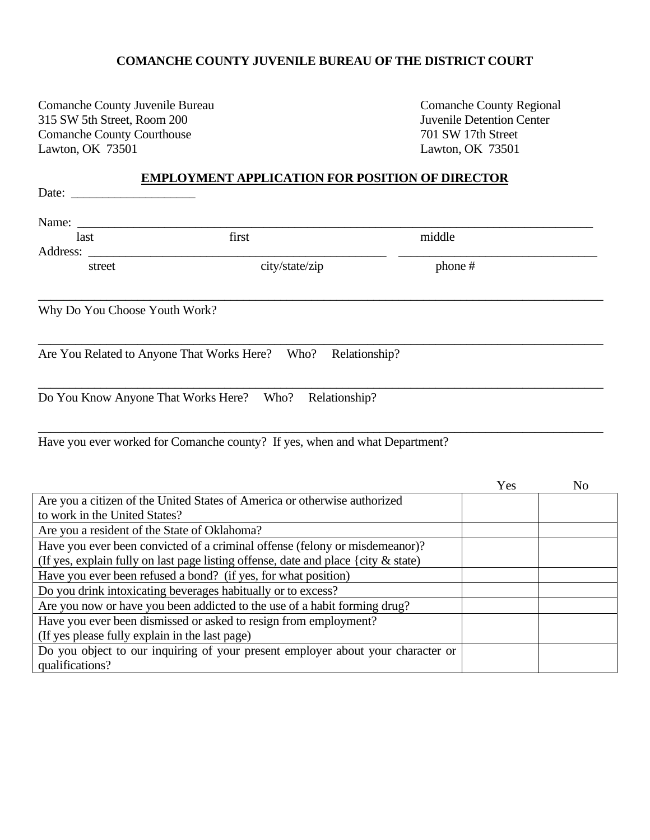## **COMANCHE COUNTY JUVENILE BUREAU OF THE DISTRICT COURT**

Comanche County Juvenile Bureau Comanche County Regional<br>
315 SW 5th Street, Room 200 Juvenile Detention Center 315 SW 5th Street, Room 200 Comanche County Courthouse 701 SW 17th Street<br>
Lawton, OK 73501<br>
Lawton, OK 73501

Lawton, OK 73501

# **EMPLOYMENT APPLICATION FOR POSITION OF DIRECTOR**

| Name: $\_\_$                                   |                                                                                       |         |     |                |
|------------------------------------------------|---------------------------------------------------------------------------------------|---------|-----|----------------|
| last                                           | first                                                                                 | middle  |     |                |
| Address:                                       |                                                                                       |         |     |                |
| street                                         | city/state/zip                                                                        | phone # |     |                |
| Why Do You Choose Youth Work?                  |                                                                                       |         |     |                |
|                                                | Are You Related to Anyone That Works Here? Who? Relationship?                         |         |     |                |
|                                                | Do You Know Anyone That Works Here? Who? Relationship?                                |         |     |                |
|                                                | Have you ever worked for Comanche county? If yes, when and what Department?           |         |     |                |
|                                                |                                                                                       |         | Yes | N <sub>0</sub> |
| to work in the United States?                  | Are you a citizen of the United States of America or otherwise authorized             |         |     |                |
| Are you a resident of the State of Oklahoma?   |                                                                                       |         |     |                |
|                                                | Have you ever been convicted of a criminal offense (felony or misdemeanor)?           |         |     |                |
|                                                | (If yes, explain fully on last page listing offense, date and place {city $\&$ state) |         |     |                |
|                                                | Have you ever been refused a bond? (if yes, for what position)                        |         |     |                |
|                                                | Do you drink intoxicating beverages habitually or to excess?                          |         |     |                |
|                                                | Are you now or have you been addicted to the use of a habit forming drug?             |         |     |                |
|                                                | Have you ever been dismissed or asked to resign from employment?                      |         |     |                |
| (If yes please fully explain in the last page) |                                                                                       |         |     |                |
|                                                | Do you object to our inquiring of your present employer about your character or       |         |     |                |
| qualifications?                                |                                                                                       |         |     |                |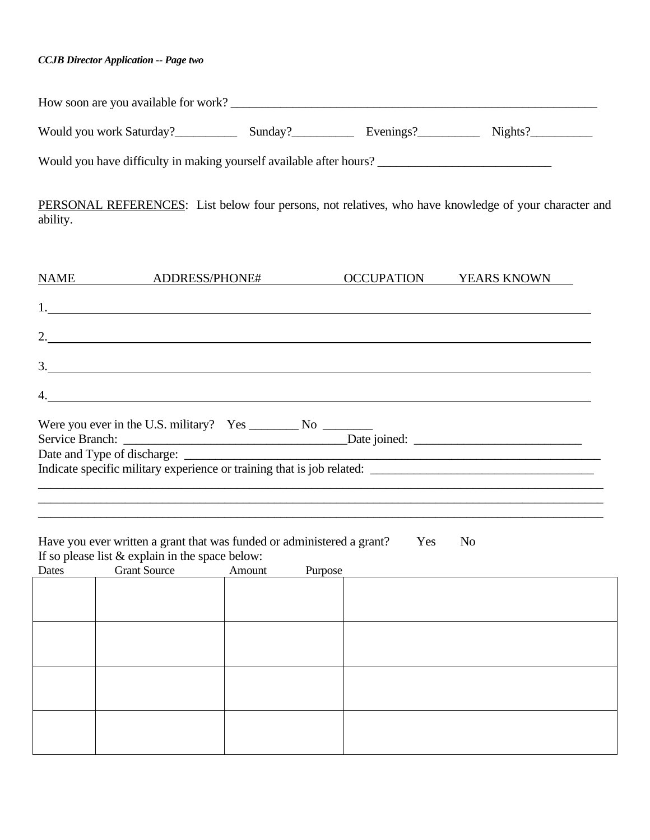## *CCJB Director Application -- Page two*

| How soon are you available for work?                                                                              |  |         |
|-------------------------------------------------------------------------------------------------------------------|--|---------|
| Would you work Saturday? Sunday? Sunday? Evenings?                                                                |  | Nights? |
| Would you have difficulty in making yourself available after hours?                                               |  |         |
| PERSONAL REFERENCES: List below four persons, not relatives, who have knowledge of your character and<br>ability. |  |         |

| NAME ADDRESS/PHONE#                                                  | OCCUPATION | YEARS KNOWN |
|----------------------------------------------------------------------|------------|-------------|
|                                                                      |            |             |
|                                                                      |            |             |
|                                                                      |            |             |
| 2. $\qquad \qquad$                                                   |            |             |
|                                                                      |            |             |
| $\frac{3}{2}$                                                        |            |             |
|                                                                      |            |             |
| 4. $\qquad \qquad$                                                   |            |             |
| Were you ever in the U.S. military? $Yes \_\_\_\_$ No $\_\_\_\_\_\_$ |            |             |
|                                                                      |            |             |
|                                                                      |            |             |
|                                                                      |            |             |
|                                                                      |            |             |
|                                                                      |            |             |
|                                                                      |            |             |

Have you ever written a grant that was funded or administered a grant? Yes No If so please list & explain in the space below:

| Dates | <b>Grant Source</b> | Amount | Purpose |  |
|-------|---------------------|--------|---------|--|
|       |                     |        |         |  |
|       |                     |        |         |  |
|       |                     |        |         |  |
|       |                     |        |         |  |
|       |                     |        |         |  |
|       |                     |        |         |  |
|       |                     |        |         |  |
|       |                     |        |         |  |
|       |                     |        |         |  |
|       |                     |        |         |  |
|       |                     |        |         |  |
|       |                     |        |         |  |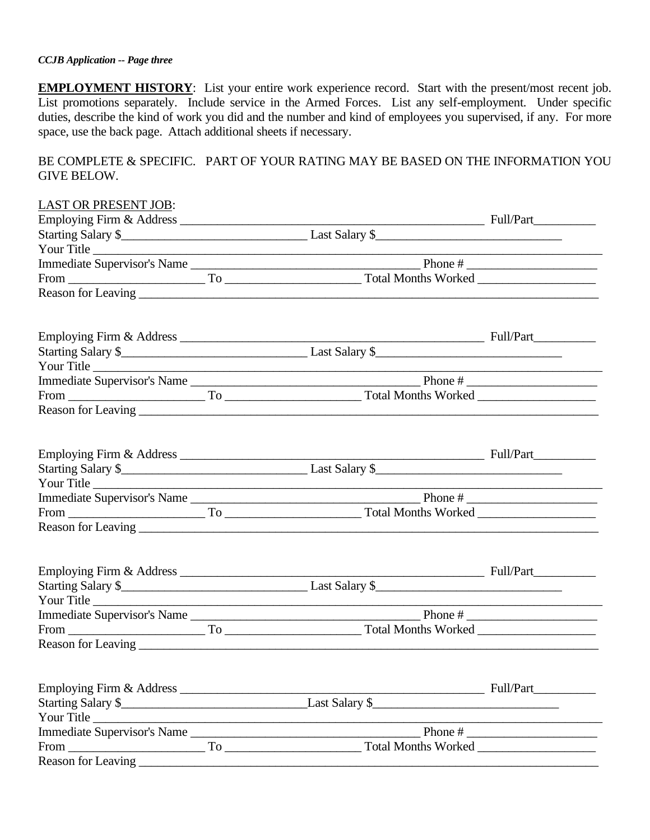#### *CCJB Application -- Page three*

**EMPLOYMENT HISTORY**: List your entire work experience record. Start with the present/most recent job. List promotions separately. Include service in the Armed Forces. List any self-employment. Under specific duties, describe the kind of work you did and the number and kind of employees you supervised, if any. For more space, use the back page. Attach additional sheets if necessary.

BE COMPLETE & SPECIFIC. PART OF YOUR RATING MAY BE BASED ON THE INFORMATION YOU GIVE BELOW.

| <b>LAST OR PRESENT JOB:</b> |            |  |
|-----------------------------|------------|--|
|                             |            |  |
|                             |            |  |
| Your Title                  |            |  |
|                             |            |  |
|                             |            |  |
|                             |            |  |
|                             |            |  |
|                             |            |  |
| Your Title                  |            |  |
|                             |            |  |
|                             |            |  |
|                             |            |  |
|                             |            |  |
|                             |            |  |
|                             | Your Title |  |
|                             |            |  |
|                             |            |  |
|                             |            |  |
|                             |            |  |
|                             |            |  |
| Your Title                  |            |  |
|                             |            |  |
|                             |            |  |
|                             |            |  |
|                             |            |  |
|                             |            |  |
| Your Title                  |            |  |
|                             |            |  |
|                             |            |  |
|                             |            |  |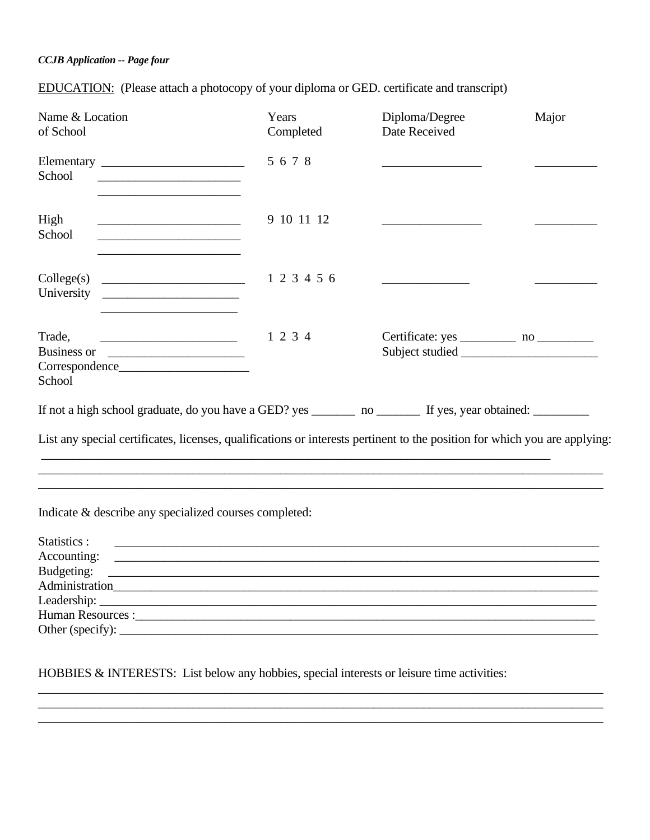## **CCJB** Application -- Page four

**EDUCATION:** (Please attach a photocopy of your diploma or GED. certificate and transcript)

| Name & Location<br>of School                                                                                                                                                                                                                                                                                                                                                  | Years<br>Completed | Diploma/Degree<br>Date Received | Major |
|-------------------------------------------------------------------------------------------------------------------------------------------------------------------------------------------------------------------------------------------------------------------------------------------------------------------------------------------------------------------------------|--------------------|---------------------------------|-------|
| School<br><u> 1989 - Johann Stein, mars an deus Amerikaansk kommunister (</u>                                                                                                                                                                                                                                                                                                 | 5678               |                                 |       |
| High<br><u> 1989 - Johann Stoff, amerikansk politiker (d. 1989)</u><br>School<br><u> 1989 - Johann Barbara, martin amerikan basar dan bagian dalam basar dalam basar dalam basar dalam basar dala</u>                                                                                                                                                                         | 9 10 11 12         |                                 |       |
| Collect(s)<br>University<br><u> 1989 - Johann Barbara, martxa alemaniar a</u>                                                                                                                                                                                                                                                                                                 | 1 2 3 4 5 6        |                                 |       |
| Trade,<br>Business or<br>School                                                                                                                                                                                                                                                                                                                                               | 1 2 3 4            |                                 |       |
| If not a high school graduate, do you have a GED? yes _________ no ___________ If yes, year obtained: ________________<br>List any special certificates, licenses, qualifications or interests pertinent to the position for which you are applying:                                                                                                                          |                    |                                 |       |
|                                                                                                                                                                                                                                                                                                                                                                               |                    |                                 |       |
| Indicate & describe any specialized courses completed:                                                                                                                                                                                                                                                                                                                        |                    |                                 |       |
| Statistics :<br><u> 1989 - Johann Stoff, amerikansk politiker (d. 1989)</u><br>Accounting:<br><u> 1989 - John Harry Harry Harry Harry Harry Harry Harry Harry Harry Harry Harry Harry Harry Harry Harry Harry H</u><br>Budgeting:<br><u> Alexandria de la contrada de la contrada de la contrada de la contrada de la contrada de la contrada de la c</u><br>Other (specify): |                    |                                 |       |

HOBBIES & INTERESTS: List below any hobbies, special interests or leisure time activities: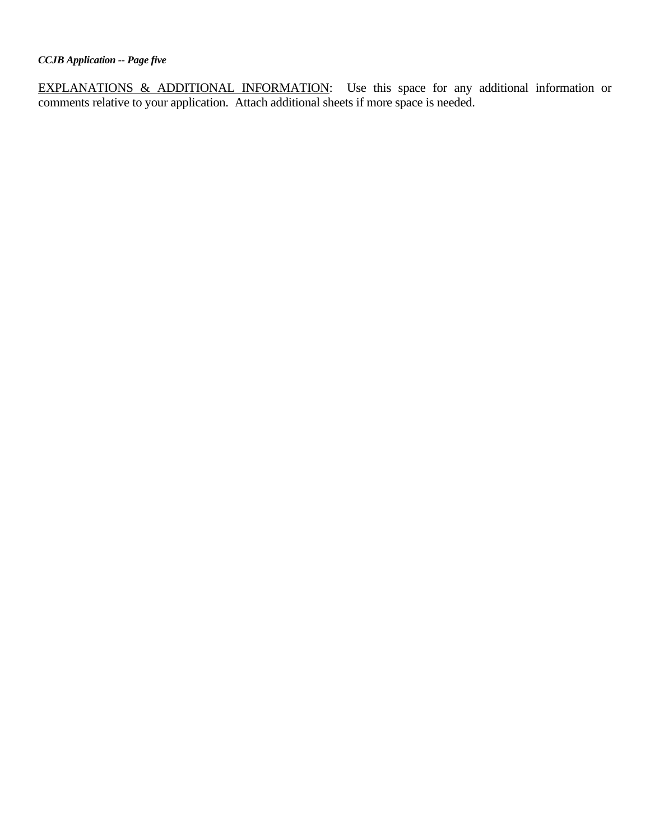EXPLANATIONS & ADDITIONAL INFORMATION: Use this space for any additional information or comments relative to your application. Attach additional sheets if more space is needed.